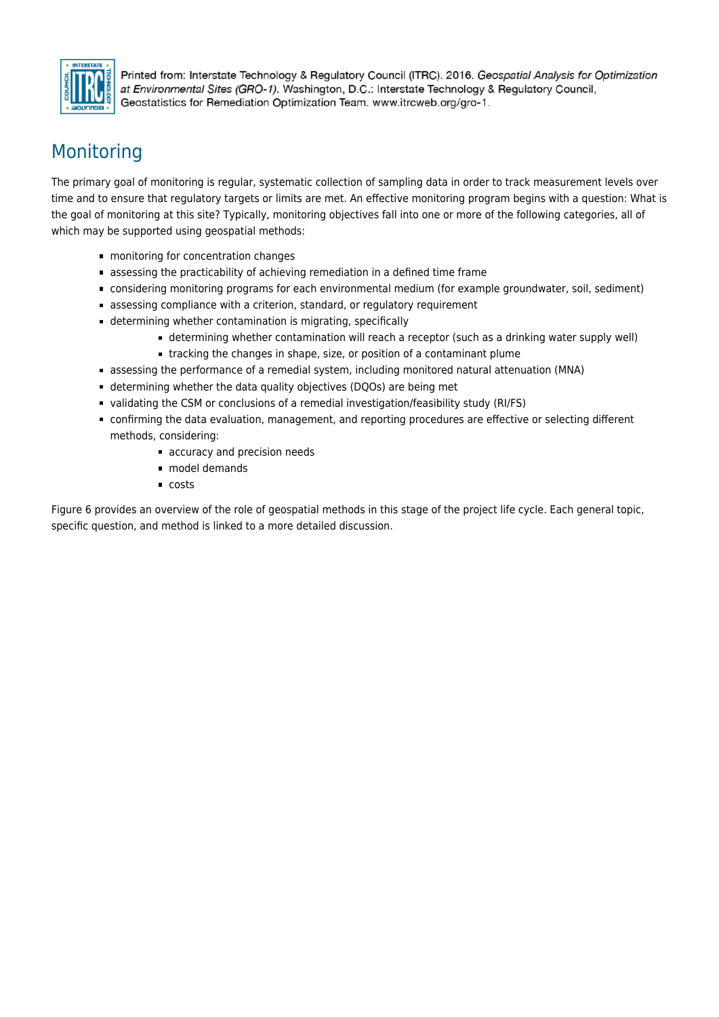

Printed from: Interstate Technology & Regulatory Council (ITRC). 2016. Geospatial Analysis for Optimization at Environmental Sites (GRO-1). Washington, D.C.: Interstate Technology & Regulatory Council. Geostatistics for Remediation Optimization Team. www.itrcweb.org/gro-1.

# Monitoring

The primary goal of monitoring is regular, systematic collection of sampling data in order to track measurement levels over time and to ensure that regulatory targets or limits are met. An effective monitoring program begins with a question: What is the goal of monitoring at this site? Typically, monitoring objectives fall into one or more of the following categories, all of which may be supported using geospatial methods:

- monitoring for concentration changes
- assessing the practicability of achieving remediation in a defined time frame
- considering monitoring programs for each environmental medium (for example groundwater, soil, sediment)
- assessing compliance with a criterion, standard, or regulatory requirement
- determining whether contamination is migrating, specifically
	- determining whether contamination will reach a receptor (such as a drinking water supply well)
	- tracking the changes in shape, size, or position of a contaminant plume
- assessing the performance of a remedial system, including monitored natural attenuation (MNA)
- determining whether the data quality objectives (DQOs) are being met
- validating the CSM or conclusions of a remedial investigation/feasibility study (RI/FS)
- confirming the data evaluation, management, and reporting procedures are effective or selecting different methods, considering:
	- accuracy and precision needs
	- model demands
	- costs

Figure 6 provides an overview of the role of geospatial methods in this stage of the project life cycle. Each general topic, specific question, and method is linked to a more detailed discussion.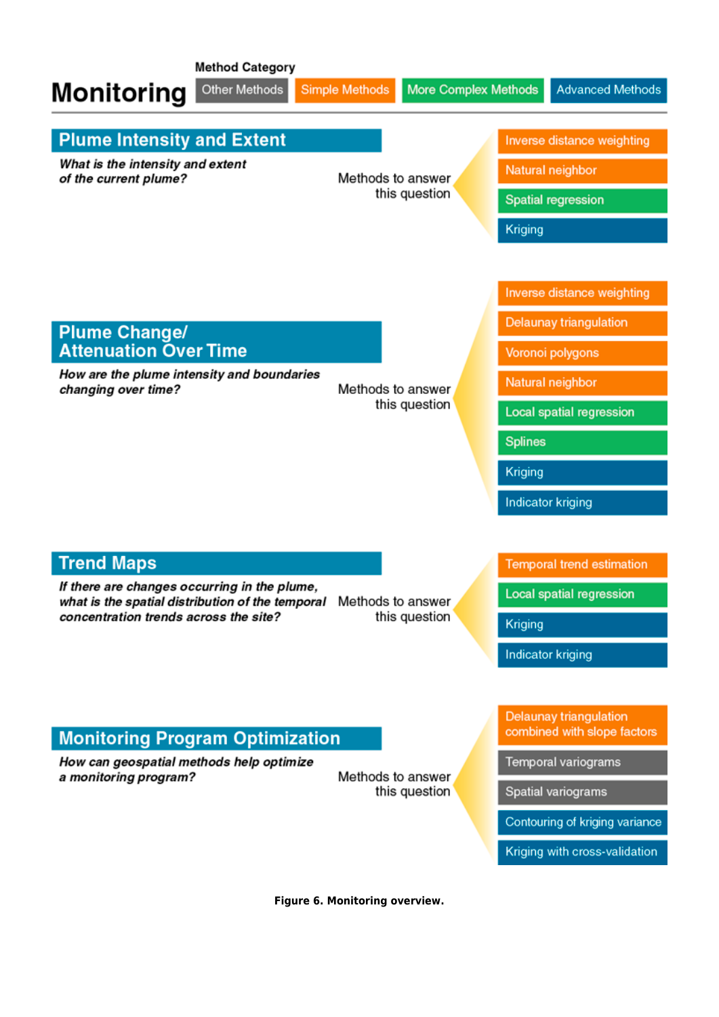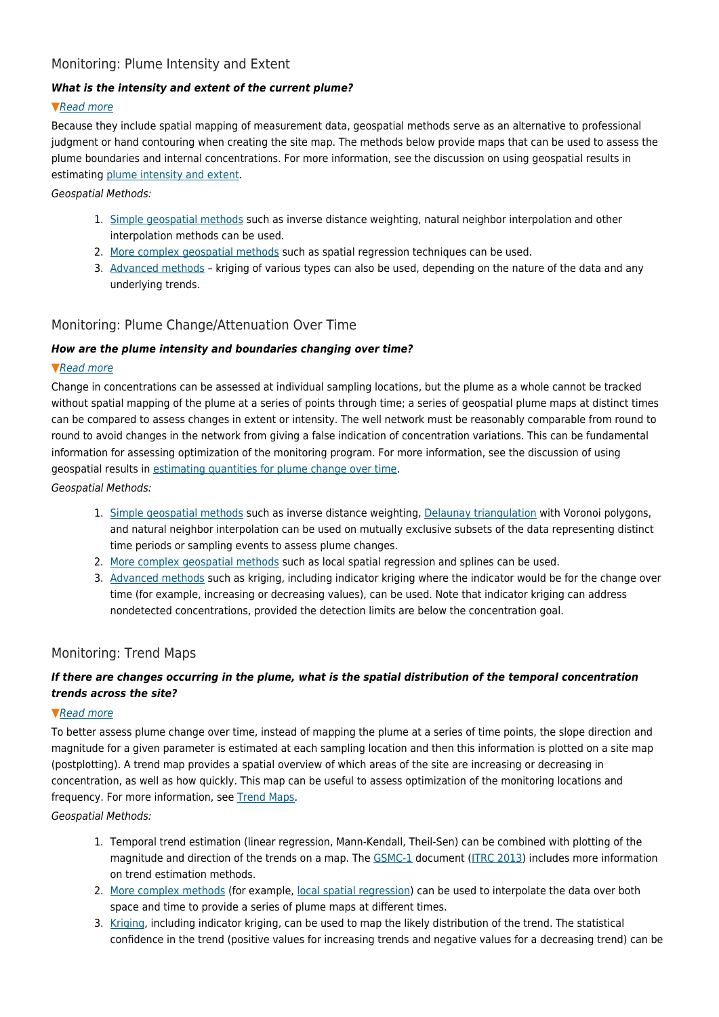# Monitoring: Plume Intensity and Extent

## *What is the intensity and extent of the current plume?*

## ▼[Read more](#page--1-0)

Because they include spatial mapping of measurement data, geospatial methods serve as an alternative to professional judgment or hand contouring when creating the site map. The methods below provide maps that can be used to assess the plume boundaries and internal concentrations. For more information, see the discussion on using geospatial results in estimating [plume intensity and extent.](https://gro-1.itrcweb.org/plume-intensity-and-extent/)

Geospatial Methods:

- 1. [Simple geospatial methods](https://gro-1.itrcweb.org/simple-geospatial-methods/) such as inverse distance weighting, natural neighbor interpolation and other interpolation methods can be used.
- 2. [More complex geospatial methods](https://gro-1.itrcweb.org/more-complex-geospatial-methods/) such as spatial regression techniques can be used.
- 3. [Advanced methods](https://gro-1.itrcweb.org/advanced-methods/) kriging of various types can also be used, depending on the nature of the data and any underlying trends.

## Monitoring: Plume Change/Attenuation Over Time

## *How are the plume intensity and boundaries changing over time?*

#### ▼[Read more](#page--1-0)

Change in concentrations can be assessed at individual sampling locations, but the plume as a whole cannot be tracked without spatial mapping of the plume at a series of points through time; a series of geospatial plume maps at distinct times can be compared to assess changes in extent or intensity. The well network must be reasonably comparable from round to round to avoid changes in the network from giving a false indication of concentration variations. This can be fundamental information for assessing optimization of the monitoring program. For more information, see the discussion of using geospatial results in [estimating quantities for plume change over time.](https://gro-1.itrcweb.org/plume-intensity-and-extent/)

Geospatial Methods:

- 1. [Simple geospatial methods](https://gro-1.itrcweb.org/simple-geospatial-methods/) such as inverse distance weighting, [Delaunay triangulation](https://gro-1.itrcweb.org/simple-geospatial-methods/#delaunay_triangulation_sample) with Voronoi polygons, and natural neighbor interpolation can be used on mutually exclusive subsets of the data representing distinct time periods or sampling events to assess plume changes.
- 2. [More complex geospatial methods](https://gro-1.itrcweb.org/more-complex-geospatial-methods/) such as local spatial regression and splines can be used.
- 3. [Advanced methods](https://gro-1.itrcweb.org/advanced-methods/) such as kriging, including indicator kriging where the indicator would be for the change over time (for example, increasing or decreasing values), can be used. Note that indicator kriging can address nondetected concentrations, provided the detection limits are below the concentration goal.

## Monitoring: Trend Maps

## *If there are changes occurring in the plume, what is the spatial distribution of the temporal concentration trends across the site?*

## ▼[Read more](#page--1-0)

To better assess plume change over time, instead of mapping the plume at a series of time points, the slope direction and magnitude for a given parameter is estimated at each sampling location and then this information is plotted on a site map (postplotting). A trend map provides a spatial overview of which areas of the site are increasing or decreasing in concentration, as well as how quickly. This map can be useful to assess optimization of the monitoring locations and frequency. For more information, see [Trend Maps.](https://gro-1.itrcweb.org/trend-maps/)

Geospatial Methods:

- 1. Temporal trend estimation (linear regression, Mann-Kendall, Theil-Sen) can be combined with plotting of the magnitude and direction of the trends on a map. The [GSMC-1](http://www.itrcweb.org/gsmc-1/#GW%20Stats/5%20Methods%20in%20indiv%20Topics/5%205%20Trend%20Tests.htm#5.5_Trend_Tests%3FTocPath%3D5.%2520Statistical%2520Tests%2520and%2520Methods%7C5.5%2520Trend%2520Tests%7C_____0) document ([ITRC 2013](#page--1-0)) includes more information on trend estimation methods.
- 2. [More complex methods](https://gro-1.itrcweb.org/more-complex-geospatial-methods/) (for example, [local spatial regression\)](https://gro-1.itrcweb.org/more-complex-geospatial-methods/#nonparametric_regression) can be used to interpolate the data over both space and time to provide a series of plume maps at different times.
- 3. [Kriging,](https://gro-1.itrcweb.org/advanced-methods/#kriging) including indicator kriging, can be used to map the likely distribution of the trend. The statistical confidence in the trend (positive values for increasing trends and negative values for a decreasing trend) can be